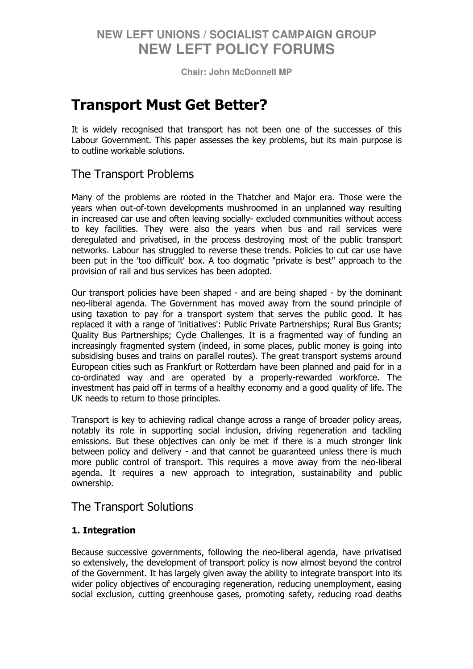**Chair: John McDonnell MP** 

# Transport Must Get Better?

It is widely recognised that transport has not been one of the successes of this Labour Government. This paper assesses the key problems, but its main purpose is to outline workable solutions.

## The Transport Problems

Many of the problems are rooted in the Thatcher and Major era. Those were the years when out-of-town developments mushroomed in an unplanned way resulting in increased car use and often leaving socially- excluded communities without access to key facilities. They were also the years when bus and rail services were deregulated and privatised, in the process destroying most of the public transport networks. Labour has struggled to reverse these trends. Policies to cut car use have been put in the 'too difficult' box. A too dogmatic "private is best" approach to the provision of rail and bus services has been adopted.

Our transport policies have been shaped - and are being shaped - by the dominant neo-liberal agenda. The Government has moved away from the sound principle of using taxation to pay for a transport system that serves the public good. It has replaced it with a range of 'initiatives': Public Private Partnerships; Rural Bus Grants; Quality Bus Partnerships; Cycle Challenges. It is a fragmented way of funding an increasingly fragmented system (indeed, in some places, public money is going into subsidising buses and trains on parallel routes). The great transport systems around European cities such as Frankfurt or Rotterdam have been planned and paid for in a co-ordinated way and are operated by a properly-rewarded workforce. The investment has paid off in terms of a healthy economy and a good quality of life. The UK needs to return to those principles.

Transport is key to achieving radical change across a range of broader policy areas, notably its role in supporting social inclusion, driving regeneration and tackling emissions. But these objectives can only be met if there is a much stronger link between policy and delivery - and that cannot be guaranteed unless there is much more public control of transport. This requires a move away from the neo-liberal agenda. It requires a new approach to integration, sustainability and public ownership.

## The Transport Solutions

### 1. Integration

Because successive governments, following the neo-liberal agenda, have privatised so extensively, the development of transport policy is now almost beyond the control of the Government. It has largely given away the ability to integrate transport into its wider policy objectives of encouraging regeneration, reducing unemployment, easing social exclusion, cutting greenhouse gases, promoting safety, reducing road deaths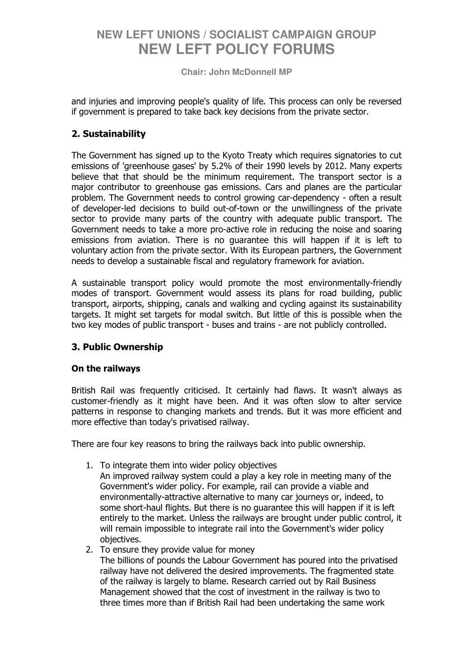**Chair: John McDonnell MP** 

and injuries and improving people's quality of life. This process can only be reversed if government is prepared to take back key decisions from the private sector.

### 2. Sustainability

The Government has signed up to the Kyoto Treaty which requires signatories to cut emissions of 'greenhouse gases' by 5.2% of their 1990 levels by 2012. Many experts believe that that should be the minimum requirement. The transport sector is a major contributor to greenhouse gas emissions. Cars and planes are the particular problem. The Government needs to control growing car-dependency - often a result of developer-led decisions to build out-of-town or the unwillingness of the private sector to provide many parts of the country with adequate public transport. The Government needs to take a more pro-active role in reducing the noise and soaring emissions from aviation. There is no guarantee this will happen if it is left to voluntary action from the private sector. With its European partners, the Government needs to develop a sustainable fiscal and regulatory framework for aviation.

A sustainable transport policy would promote the most environmentally-friendly modes of transport. Government would assess its plans for road building, public transport, airports, shipping, canals and walking and cycling against its sustainability targets. It might set targets for modal switch. But little of this is possible when the two key modes of public transport - buses and trains - are not publicly controlled.

### 3. Public Ownership

### On the railways

British Rail was frequently criticised. It certainly had flaws. It wasn't always as customer-friendly as it might have been. And it was often slow to alter service patterns in response to changing markets and trends. But it was more efficient and more effective than today's privatised railway.

There are four key reasons to bring the railways back into public ownership.

- 1. To integrate them into wider policy objectives
	- An improved railway system could a play a key role in meeting many of the Government's wider policy. For example, rail can provide a viable and environmentally-attractive alternative to many car journeys or, indeed, to some short-haul flights. But there is no guarantee this will happen if it is left entirely to the market. Unless the railways are brought under public control, it will remain impossible to integrate rail into the Government's wider policy objectives.
- 2. To ensure they provide value for money The billions of pounds the Labour Government has poured into the privatised railway have not delivered the desired improvements. The fragmented state of the railway is largely to blame. Research carried out by Rail Business Management showed that the cost of investment in the railway is two to three times more than if British Rail had been undertaking the same work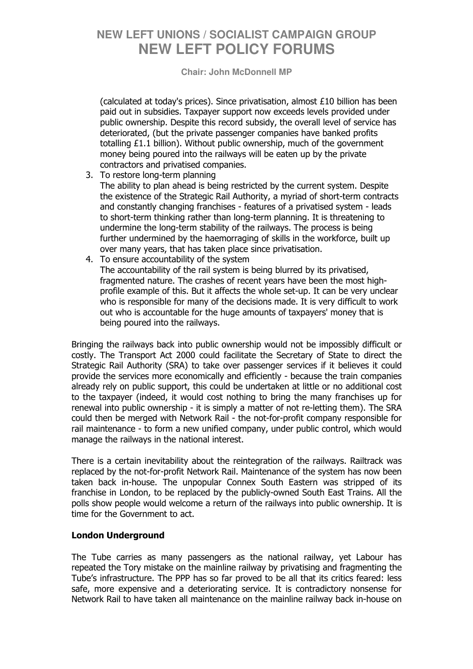#### **Chair: John McDonnell MP**

(calculated at today's prices). Since privatisation, almost £10 billion has been paid out in subsidies. Taxpayer support now exceeds levels provided under public ownership. Despite this record subsidy, the overall level of service has deteriorated, (but the private passenger companies have banked profits totalling £1.1 billion). Without public ownership, much of the government money being poured into the railways will be eaten up by the private contractors and privatised companies.

- 3. To restore long-term planning The ability to plan ahead is being restricted by the current system. Despite the existence of the Strategic Rail Authority, a myriad of short-term contracts and constantly changing franchises - features of a privatised system - leads to short-term thinking rather than long-term planning. It is threatening to undermine the long-term stability of the railways. The process is being further undermined by the haemorraging of skills in the workforce, built up over many years, that has taken place since privatisation.
- 4. To ensure accountability of the system The accountability of the rail system is being blurred by its privatised, fragmented nature. The crashes of recent years have been the most highprofile example of this. But it affects the whole set-up. It can be very unclear who is responsible for many of the decisions made. It is very difficult to work out who is accountable for the huge amounts of taxpayers' money that is being poured into the railways.

Bringing the railways back into public ownership would not be impossibly difficult or costly. The Transport Act 2000 could facilitate the Secretary of State to direct the Strategic Rail Authority (SRA) to take over passenger services if it believes it could provide the services more economically and efficiently - because the train companies already rely on public support, this could be undertaken at little or no additional cost to the taxpayer (indeed, it would cost nothing to bring the many franchises up for renewal into public ownership - it is simply a matter of not re-letting them). The SRA could then be merged with Network Rail - the not-for-profit company responsible for rail maintenance - to form a new unified company, under public control, which would manage the railways in the national interest.

There is a certain inevitability about the reintegration of the railways. Railtrack was replaced by the not-for-profit Network Rail. Maintenance of the system has now been taken back in-house. The unpopular Connex South Eastern was stripped of its franchise in London, to be replaced by the publicly-owned South East Trains. All the polls show people would welcome a return of the railways into public ownership. It is time for the Government to act.

### London Underground

The Tube carries as many passengers as the national railway, yet Labour has repeated the Tory mistake on the mainline railway by privatising and fragmenting the Tube's infrastructure. The PPP has so far proved to be all that its critics feared: less safe, more expensive and a deteriorating service. It is contradictory nonsense for Network Rail to have taken all maintenance on the mainline railway back in-house on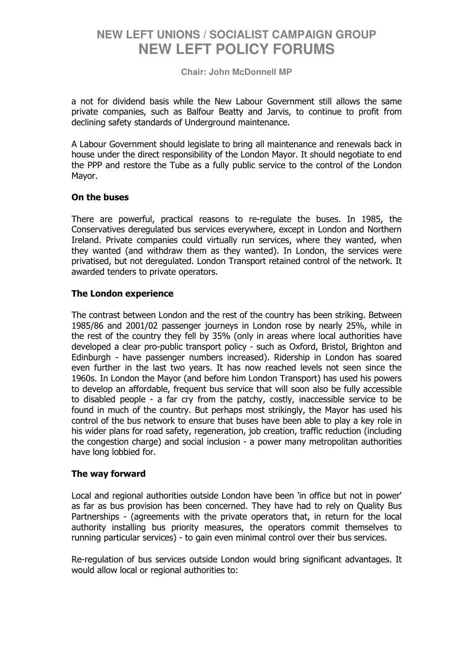**Chair: John McDonnell MP** 

a not for dividend basis while the New Labour Government still allows the same private companies, such as Balfour Beatty and Jarvis, to continue to profit from declining safety standards of Underground maintenance.

A Labour Government should legislate to bring all maintenance and renewals back in house under the direct responsibility of the London Mayor. It should negotiate to end the PPP and restore the Tube as a fully public service to the control of the London Mayor.

#### On the buses

There are powerful, practical reasons to re-regulate the buses. In 1985, the Conservatives deregulated bus services everywhere, except in London and Northern Ireland. Private companies could virtually run services, where they wanted, when they wanted (and withdraw them as they wanted). In London, the services were privatised, but not deregulated. London Transport retained control of the network. It awarded tenders to private operators.

#### The London experience

The contrast between London and the rest of the country has been striking. Between 1985/86 and 2001/02 passenger journeys in London rose by nearly 25%, while in the rest of the country they fell by 35% (only in areas where local authorities have developed a clear pro-public transport policy - such as Oxford, Bristol, Brighton and Edinburgh - have passenger numbers increased). Ridership in London has soared even further in the last two years. It has now reached levels not seen since the 1960s. In London the Mayor (and before him London Transport) has used his powers to develop an affordable, frequent bus service that will soon also be fully accessible to disabled people - a far cry from the patchy, costly, inaccessible service to be found in much of the country. But perhaps most strikingly, the Mayor has used his control of the bus network to ensure that buses have been able to play a key role in his wider plans for road safety, regeneration, job creation, traffic reduction (including the congestion charge) and social inclusion - a power many metropolitan authorities have long lobbied for.

### The way forward

Local and regional authorities outside London have been 'in office but not in power' as far as bus provision has been concerned. They have had to rely on Quality Bus Partnerships - (agreements with the private operators that, in return for the local authority installing bus priority measures, the operators commit themselves to running particular services) - to gain even minimal control over their bus services.

Re-regulation of bus services outside London would bring significant advantages. It would allow local or regional authorities to: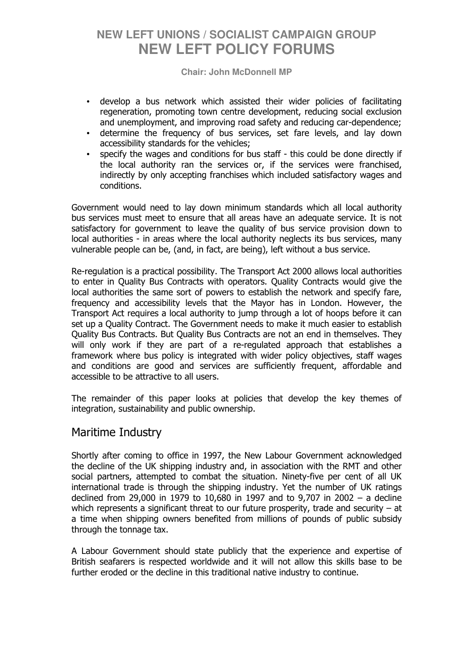#### **Chair: John McDonnell MP**

- develop a bus network which assisted their wider policies of facilitating regeneration, promoting town centre development, reducing social exclusion and unemployment, and improving road safety and reducing car-dependence;
- determine the frequency of bus services, set fare levels, and lay down accessibility standards for the vehicles;
- specify the wages and conditions for bus staff this could be done directly if the local authority ran the services or, if the services were franchised, indirectly by only accepting franchises which included satisfactory wages and conditions.

Government would need to lay down minimum standards which all local authority bus services must meet to ensure that all areas have an adequate service. It is not satisfactory for government to leave the quality of bus service provision down to local authorities - in areas where the local authority neglects its bus services, many vulnerable people can be, (and, in fact, are being), left without a bus service.

Re-regulation is a practical possibility. The Transport Act 2000 allows local authorities to enter in Quality Bus Contracts with operators. Quality Contracts would give the local authorities the same sort of powers to establish the network and specify fare, frequency and accessibility levels that the Mayor has in London. However, the Transport Act requires a local authority to jump through a lot of hoops before it can set up a Quality Contract. The Government needs to make it much easier to establish Quality Bus Contracts. But Quality Bus Contracts are not an end in themselves. They will only work if they are part of a re-regulated approach that establishes a framework where bus policy is integrated with wider policy objectives, staff wages and conditions are good and services are sufficiently frequent, affordable and accessible to be attractive to all users.

The remainder of this paper looks at policies that develop the key themes of integration, sustainability and public ownership.

### Maritime Industry

Shortly after coming to office in 1997, the New Labour Government acknowledged the decline of the UK shipping industry and, in association with the RMT and other social partners, attempted to combat the situation. Ninety-five per cent of all UK international trade is through the shipping industry. Yet the number of UK ratings declined from 29,000 in 1979 to 10,680 in 1997 and to 9,707 in 2002 – a decline which represents a significant threat to our future prosperity, trade and security – at a time when shipping owners benefited from millions of pounds of public subsidy through the tonnage tax.

A Labour Government should state publicly that the experience and expertise of British seafarers is respected worldwide and it will not allow this skills base to be further eroded or the decline in this traditional native industry to continue.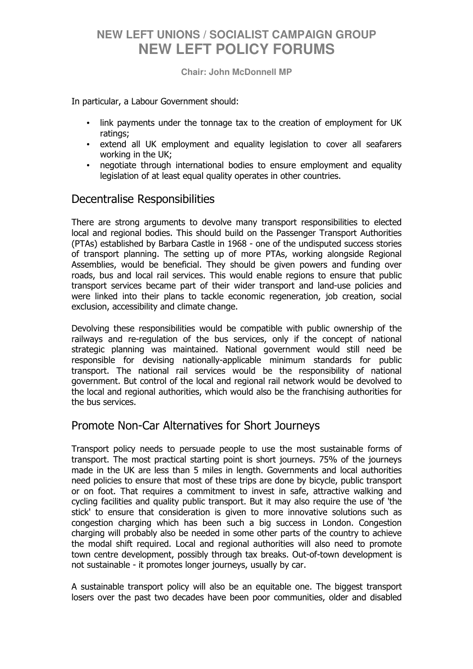**Chair: John McDonnell MP** 

In particular, a Labour Government should:

- link payments under the tonnage tax to the creation of employment for UK ratings;
- extend all UK employment and equality legislation to cover all seafarers working in the UK;
- negotiate through international bodies to ensure employment and equality legislation of at least equal quality operates in other countries.

## Decentralise Responsibilities

There are strong arguments to devolve many transport responsibilities to elected local and regional bodies. This should build on the Passenger Transport Authorities (PTAs) established by Barbara Castle in 1968 - one of the undisputed success stories of transport planning. The setting up of more PTAs, working alongside Regional Assemblies, would be beneficial. They should be given powers and funding over roads, bus and local rail services. This would enable regions to ensure that public transport services became part of their wider transport and land-use policies and were linked into their plans to tackle economic regeneration, job creation, social exclusion, accessibility and climate change.

Devolving these responsibilities would be compatible with public ownership of the railways and re-regulation of the bus services, only if the concept of national strategic planning was maintained. National government would still need be responsible for devising nationally-applicable minimum standards for public transport. The national rail services would be the responsibility of national government. But control of the local and regional rail network would be devolved to the local and regional authorities, which would also be the franchising authorities for the bus services.

## Promote Non-Car Alternatives for Short Journeys

Transport policy needs to persuade people to use the most sustainable forms of transport. The most practical starting point is short journeys. 75% of the journeys made in the UK are less than 5 miles in length. Governments and local authorities need policies to ensure that most of these trips are done by bicycle, public transport or on foot. That requires a commitment to invest in safe, attractive walking and cycling facilities and quality public transport. But it may also require the use of 'the stick' to ensure that consideration is given to more innovative solutions such as congestion charging which has been such a big success in London. Congestion charging will probably also be needed in some other parts of the country to achieve the modal shift required. Local and regional authorities will also need to promote town centre development, possibly through tax breaks. Out-of-town development is not sustainable - it promotes longer journeys, usually by car.

A sustainable transport policy will also be an equitable one. The biggest transport losers over the past two decades have been poor communities, older and disabled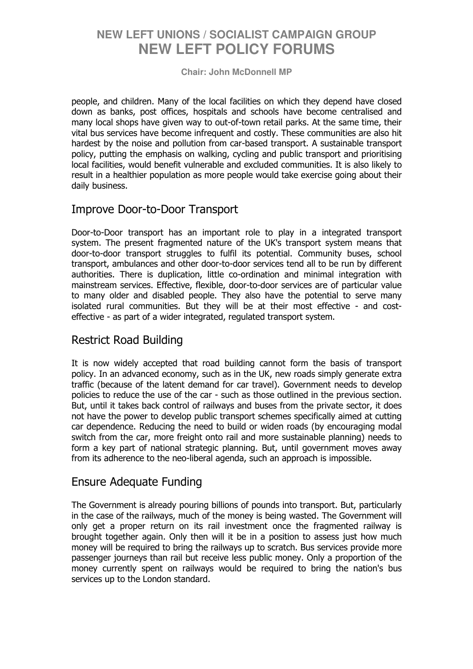#### **Chair: John McDonnell MP**

people, and children. Many of the local facilities on which they depend have closed down as banks, post offices, hospitals and schools have become centralised and many local shops have given way to out-of-town retail parks. At the same time, their vital bus services have become infrequent and costly. These communities are also hit hardest by the noise and pollution from car-based transport. A sustainable transport policy, putting the emphasis on walking, cycling and public transport and prioritising local facilities, would benefit vulnerable and excluded communities. It is also likely to result in a healthier population as more people would take exercise going about their daily business.

### Improve Door-to-Door Transport

Door-to-Door transport has an important role to play in a integrated transport system. The present fragmented nature of the UK's transport system means that door-to-door transport struggles to fulfil its potential. Community buses, school transport, ambulances and other door-to-door services tend all to be run by different authorities. There is duplication, little co-ordination and minimal integration with mainstream services. Effective, flexible, door-to-door services are of particular value to many older and disabled people. They also have the potential to serve many isolated rural communities. But they will be at their most effective - and costeffective - as part of a wider integrated, regulated transport system.

## Restrict Road Building

It is now widely accepted that road building cannot form the basis of transport policy. In an advanced economy, such as in the UK, new roads simply generate extra traffic (because of the latent demand for car travel). Government needs to develop policies to reduce the use of the car - such as those outlined in the previous section. But, until it takes back control of railways and buses from the private sector, it does not have the power to develop public transport schemes specifically aimed at cutting car dependence. Reducing the need to build or widen roads (by encouraging modal switch from the car, more freight onto rail and more sustainable planning) needs to form a key part of national strategic planning. But, until government moves away from its adherence to the neo-liberal agenda, such an approach is impossible.

## Ensure Adequate Funding

The Government is already pouring billions of pounds into transport. But, particularly in the case of the railways, much of the money is being wasted. The Government will only get a proper return on its rail investment once the fragmented railway is brought together again. Only then will it be in a position to assess just how much money will be required to bring the railways up to scratch. Bus services provide more passenger journeys than rail but receive less public money. Only a proportion of the money currently spent on railways would be required to bring the nation's bus services up to the London standard.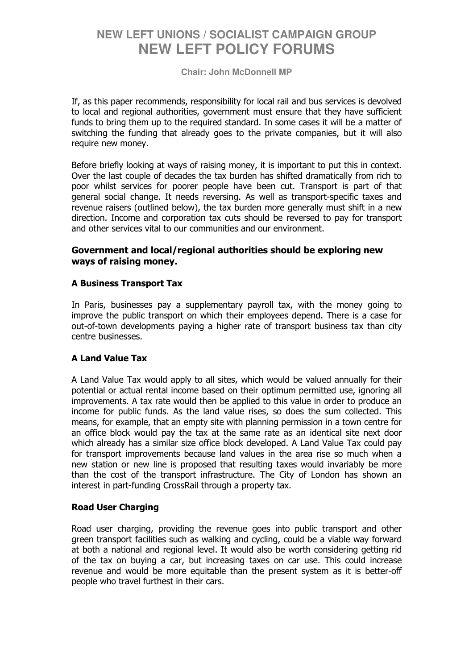#### **Chair: John McDonnell MP**

If, as this paper recommends, responsibility for local rail and bus services is devolved to local and regional authorities, government must ensure that they have sufficient funds to bring them up to the required standard. In some cases it will be a matter of switching the funding that already goes to the private companies, but it will also require new money.

Before briefly looking at ways of raising money, it is important to put this in context. Over the last couple of decades the tax burden has shifted dramatically from rich to poor whilst services for poorer people have been cut. Transport is part of that general social change. It needs reversing. As well as transport-specific taxes and revenue raisers (outlined below), the tax burden more generally must shift in a new direction. Income and corporation tax cuts should be reversed to pay for transport and other services vital to our communities and our environment.

#### Government and local/regional authorities should be exploring new ways of raising money.

### A Business Transport Tax

In Paris, businesses pay a supplementary payroll tax, with the money going to improve the public transport on which their employees depend. There is a case for out-of-town developments paying a higher rate of transport business tax than city centre businesses.

### A Land Value Tax

A Land Value Tax would apply to all sites, which would be valued annually for their potential or actual rental income based on their optimum permitted use, ignoring all improvements. A tax rate would then be applied to this value in order to produce an income for public funds. As the land value rises, so does the sum collected. This means, for example, that an empty site with planning permission in a town centre for an office block would pay the tax at the same rate as an identical site next door which already has a similar size office block developed. A Land Value Tax could pay for transport improvements because land values in the area rise so much when a new station or new line is proposed that resulting taxes would invariably be more than the cost of the transport infrastructure. The City of London has shown an interest in part-funding CrossRail through a property tax.

#### Road User Charging

Road user charging, providing the revenue goes into public transport and other green transport facilities such as walking and cycling, could be a viable way forward at both a national and regional level. It would also be worth considering getting rid of the tax on buying a car, but increasing taxes on car use. This could increase revenue and would be more equitable than the present system as it is better-off people who travel furthest in their cars.